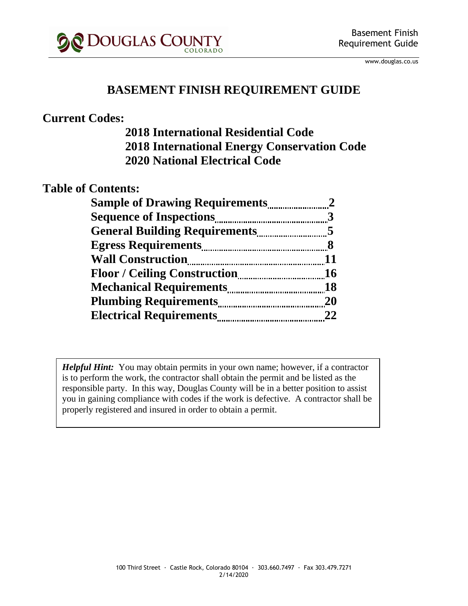

www.douglas.co.us

#### **BASEMENT FINISH REQUIREMENT GUIDE**

#### **Current Codes:**

#### **2018 International Residential Code 2018 International Energy Conservation Code 2020 National Electrical Code**

#### **Table of Contents:**

| <b>Sample of Drawing Requirements</b> |                |
|---------------------------------------|----------------|
| <b>Sequence of Inspections</b>        |                |
|                                       | $\overline{5}$ |
|                                       | 8              |
| <b>Wall Construction</b>              | 11             |
| <b>Floor / Ceiling Construction</b>   | 16             |
| <b>Mechanical Requirements</b>        | 18             |
|                                       | 20             |
| <b>Electrical Requirements</b>        | 22             |

*Helpful Hint:* You may obtain permits in your own name; however, if a contractor is to perform the work, the contractor shall obtain the permit and be listed as the responsible party. In this way, Douglas County will be in a better position to assist you in gaining compliance with codes if the work is defective. A contractor shall be properly registered and insured in order to obtain a permit.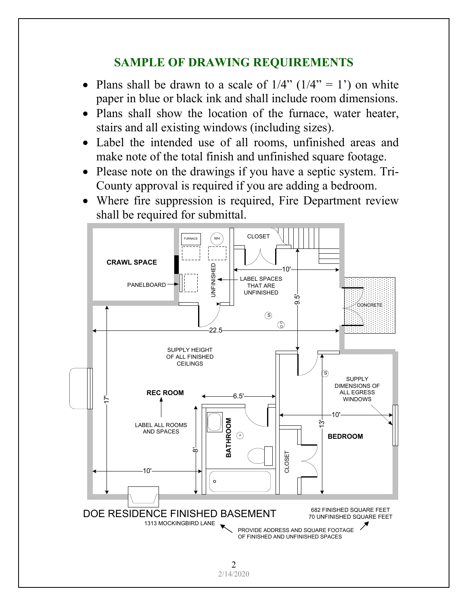#### **SAMPLE OF DRAWING REQUIREMENTS**

- Plans shall be drawn to a scale of  $1/4$ " ( $1/4$ " = 1") on white paper in blue or black ink and shall include room dimensions.
- Plans shall show the location of the furnace, water heater, stairs and all existing windows (including sizes).
- Label the intended use of all rooms, unfinished areas and make note of the total finish and unfinished square footage.
- Please note on the drawings if you have a septic system. Tri-County approval is required if you are adding a bedroom.
- Where fire suppression is required, Fire Department review shall be required for submittal.

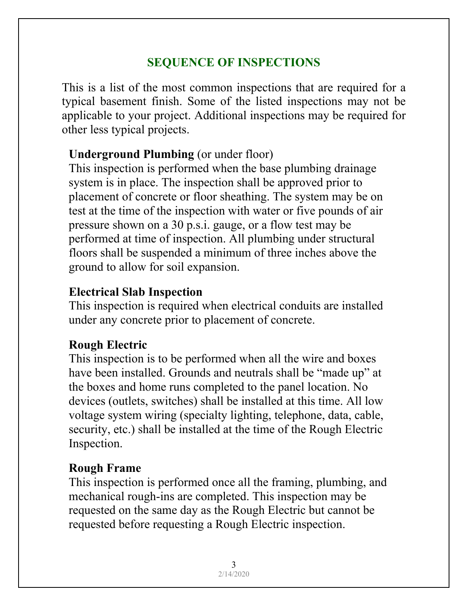# **SEQUENCE OF INSPECTIONS**

This is a list of the most common inspections that are required for a typical basement finish. Some of the listed inspections may not be applicable to your project. Additional inspections may be required for other less typical projects.

### **Underground Plumbing** (or under floor)

This inspection is performed when the base plumbing drainage system is in place. The inspection shall be approved prior to placement of concrete or floor sheathing. The system may be on test at the time of the inspection with water or five pounds of air pressure shown on a 30 p.s.i. gauge, or a flow test may be performed at time of inspection. All plumbing under structural floors shall be suspended a minimum of three inches above the ground to allow for soil expansion.

#### **Electrical Slab Inspection**

This inspection is required when electrical conduits are installed under any concrete prior to placement of concrete.

### **Rough Electric**

This inspection is to be performed when all the wire and boxes have been installed. Grounds and neutrals shall be "made up" at the boxes and home runs completed to the panel location. No devices (outlets, switches) shall be installed at this time. All low voltage system wiring (specialty lighting, telephone, data, cable, security, etc.) shall be installed at the time of the Rough Electric Inspection.

# **Rough Frame**

This inspection is performed once all the framing, plumbing, and mechanical rough-ins are completed. This inspection may be requested on the same day as the Rough Electric but cannot be requested before requesting a Rough Electric inspection.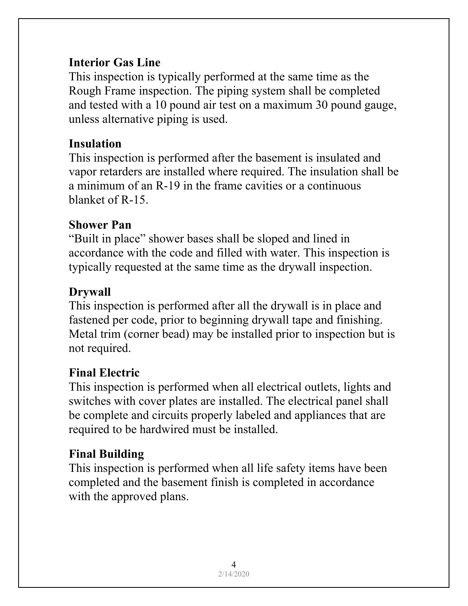### **Interior Gas Line**

This inspection is typically performed at the same time as the Rough Frame inspection. The piping system shall be completed and tested with a 10 pound air test on a maximum 30 pound gauge, unless alternative piping is used.

# **Insulation**

This inspection is performed after the basement is insulated and vapor retarders are installed where required. The insulation shall be a minimum of an R-19 in the frame cavities or a continuous blanket of R-15.

# **Shower Pan**

"Built in place" shower bases shall be sloped and lined in accordance with the code and filled with water. This inspection is typically requested at the same time as the drywall inspection.

# **Drywall**

This inspection is performed after all the drywall is in place and fastened per code, prior to beginning drywall tape and finishing. Metal trim (corner bead) may be installed prior to inspection but is not required.

# **Final Electric**

This inspection is performed when all electrical outlets, lights and switches with cover plates are installed. The electrical panel shall be complete and circuits properly labeled and appliances that are required to be hardwired must be installed.

# **Final Building**

This inspection is performed when all life safety items have been completed and the basement finish is completed in accordance with the approved plans.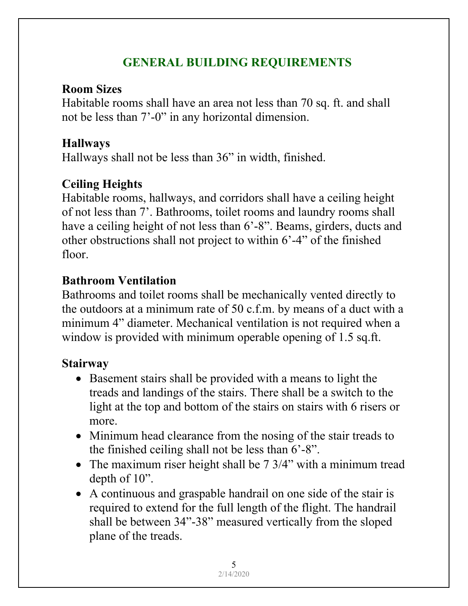# **GENERAL BUILDING REQUIREMENTS**

#### **Room Sizes**

Habitable rooms shall have an area not less than 70 sq. ft. and shall not be less than 7'-0" in any horizontal dimension.

### **Hallways**

Hallways shall not be less than 36" in width, finished.

# **Ceiling Heights**

Habitable rooms, hallways, and corridors shall have a ceiling height of not less than 7'. Bathrooms, toilet rooms and laundry rooms shall have a ceiling height of not less than 6'-8". Beams, girders, ducts and other obstructions shall not project to within 6'-4" of the finished floor.

# **Bathroom Ventilation**

Bathrooms and toilet rooms shall be mechanically vented directly to the outdoors at a minimum rate of 50 c.f.m. by means of a duct with a minimum 4" diameter. Mechanical ventilation is not required when a window is provided with minimum operable opening of 1.5 sq.ft.

# **Stairway**

- Basement stairs shall be provided with a means to light the treads and landings of the stairs. There shall be a switch to the light at the top and bottom of the stairs on stairs with 6 risers or more.
- Minimum head clearance from the nosing of the stair treads to the finished ceiling shall not be less than 6'-8".
- The maximum riser height shall be 7 3/4" with a minimum tread depth of 10".
- A continuous and graspable handrail on one side of the stair is required to extend for the full length of the flight. The handrail shall be between 34"-38" measured vertically from the sloped plane of the treads.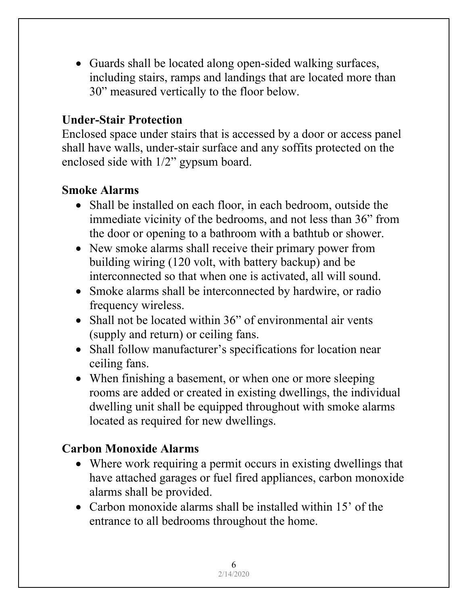• Guards shall be located along open-sided walking surfaces, including stairs, ramps and landings that are located more than 30" measured vertically to the floor below.

#### **Under-Stair Protection**

Enclosed space under stairs that is accessed by a door or access panel shall have walls, under-stair surface and any soffits protected on the enclosed side with 1/2" gypsum board.

#### **Smoke Alarms**

- Shall be installed on each floor, in each bedroom, outside the immediate vicinity of the bedrooms, and not less than 36" from the door or opening to a bathroom with a bathtub or shower.
- New smoke alarms shall receive their primary power from building wiring (120 volt, with battery backup) and be interconnected so that when one is activated, all will sound.
- Smoke alarms shall be interconnected by hardwire, or radio frequency wireless.
- Shall not be located within 36" of environmental air vents (supply and return) or ceiling fans.
- Shall follow manufacturer's specifications for location near ceiling fans.
- When finishing a basement, or when one or more sleeping rooms are added or created in existing dwellings, the individual dwelling unit shall be equipped throughout with smoke alarms located as required for new dwellings.

### **Carbon Monoxide Alarms**

- Where work requiring a permit occurs in existing dwellings that have attached garages or fuel fired appliances, carbon monoxide alarms shall be provided.
- Carbon monoxide alarms shall be installed within 15' of the entrance to all bedrooms throughout the home.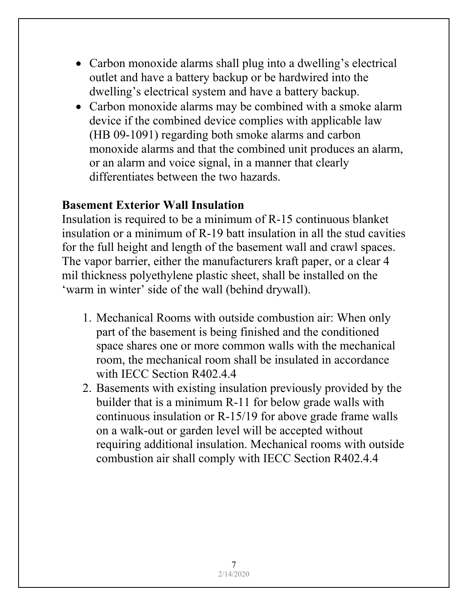- Carbon monoxide alarms shall plug into a dwelling's electrical outlet and have a battery backup or be hardwired into the dwelling's electrical system and have a battery backup.
- Carbon monoxide alarms may be combined with a smoke alarm device if the combined device complies with applicable law (HB 09-1091) regarding both smoke alarms and carbon monoxide alarms and that the combined unit produces an alarm, or an alarm and voice signal, in a manner that clearly differentiates between the two hazards.

#### **Basement Exterior Wall Insulation**

Insulation is required to be a minimum of R-15 continuous blanket insulation or a minimum of R-19 batt insulation in all the stud cavities for the full height and length of the basement wall and crawl spaces. The vapor barrier, either the manufacturers kraft paper, or a clear 4 mil thickness polyethylene plastic sheet, shall be installed on the 'warm in winter' side of the wall (behind drywall).

- 1. Mechanical Rooms with outside combustion air: When only part of the basement is being finished and the conditioned space shares one or more common walls with the mechanical room, the mechanical room shall be insulated in accordance with IECC Section R402.4.4
- 2. Basements with existing insulation previously provided by the builder that is a minimum R-11 for below grade walls with continuous insulation or R-15/19 for above grade frame walls on a walk-out or garden level will be accepted without requiring additional insulation. Mechanical rooms with outside combustion air shall comply with IECC Section R402.4.4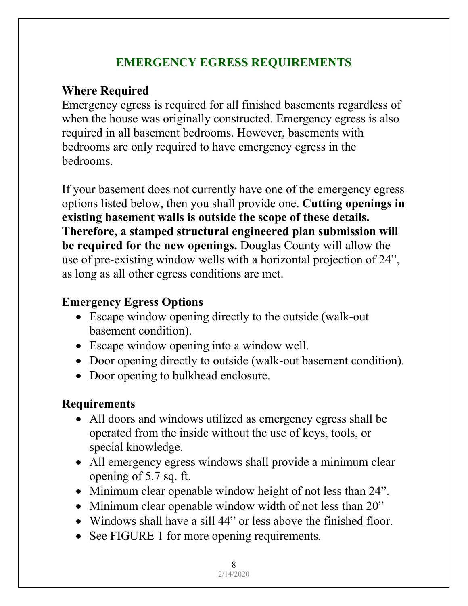### **EMERGENCY EGRESS REQUIREMENTS**

# **Where Required**

Emergency egress is required for all finished basements regardless of when the house was originally constructed. Emergency egress is also required in all basement bedrooms. However, basements with bedrooms are only required to have emergency egress in the bedrooms.

If your basement does not currently have one of the emergency egress options listed below, then you shall provide one. **Cutting openings in existing basement walls is outside the scope of these details. Therefore, a stamped structural engineered plan submission will be required for the new openings.** Douglas County will allow the use of pre-existing window wells with a horizontal projection of 24", as long as all other egress conditions are met.

# **Emergency Egress Options**

- Escape window opening directly to the outside (walk-out) basement condition).
- Escape window opening into a window well.
- Door opening directly to outside (walk-out basement condition).
- Door opening to bulkhead enclosure.

# **Requirements**

- All doors and windows utilized as emergency egress shall be operated from the inside without the use of keys, tools, or special knowledge.
- All emergency egress windows shall provide a minimum clear opening of 5.7 sq. ft.
- Minimum clear openable window height of not less than 24".
- Minimum clear openable window width of not less than 20"
- Windows shall have a sill 44" or less above the finished floor.
- See FIGURE 1 for more opening requirements.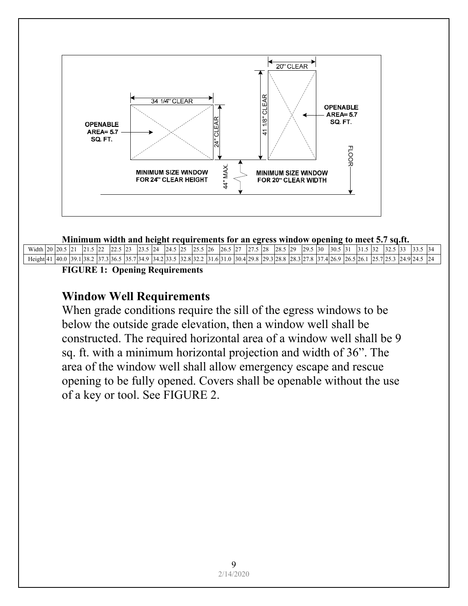

#### **Minimum width and height requirements for an egress window opening to meet 5.7 sq.ft.**

| Width 20 20.        |  | 21.5                    | $\sim$<br>5122 | 5 23 | 23.5 | $\frac{1}{24}$ | $24.5$ 25                                | 25.5 26 | $26.5$ 27                                   | 27.5 28 | $28.5$ 29 | 29.5    | $\overline{30}$ | 30.5                    | -151 | $-131.5$ |           | 32.5 | 13.5 | $\sim$<br>33.3        |  |
|---------------------|--|-------------------------|----------------|------|------|----------------|------------------------------------------|---------|---------------------------------------------|---------|-----------|---------|-----------------|-------------------------|------|----------|-----------|------|------|-----------------------|--|
| Height <sup>4</sup> |  | 40.0   39.1   38.2   37 |                |      |      |                | :3 36.5  35.7 34.9  34.2 33.5  32.8 32.2 |         | 2  31.6 31.0  30.4 29.8  29.3 28.8  28.3 27 |         |           | 7.8 137 |                 | $7.4126.9$ $ 26.5126.1$ |      |          | 25.7 25.3 |      |      | .5 24<br>53124.9124.5 |  |
|                     |  | <b>TYOTIBE 4</b>        |                |      |      |                |                                          |         |                                             |         |           |         |                 |                         |      |          |           |      |      |                       |  |

**FIGURE 1: Opening Requirements** 

#### **Window Well Requirements**

When grade conditions require the sill of the egress windows to be below the outside grade elevation, then a window well shall be constructed. The required horizontal area of a window well shall be 9 sq. ft. with a minimum horizontal projection and width of 36". The area of the window well shall allow emergency escape and rescue opening to be fully opened. Covers shall be openable without the use of a key or tool. See FIGURE 2.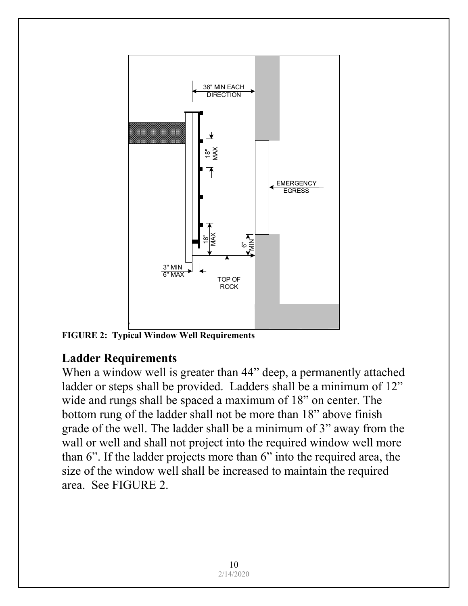

**FIGURE 2: Typical Window Well Requirements** 

### **Ladder Requirements**

When a window well is greater than 44" deep, a permanently attached ladder or steps shall be provided. Ladders shall be a minimum of 12" wide and rungs shall be spaced a maximum of 18" on center. The bottom rung of the ladder shall not be more than 18" above finish grade of the well. The ladder shall be a minimum of 3" away from the wall or well and shall not project into the required window well more than 6". If the ladder projects more than 6" into the required area, the size of the window well shall be increased to maintain the required area. See FIGURE 2.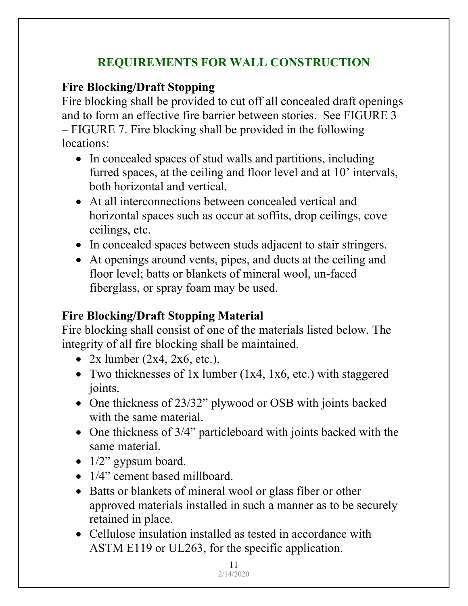# **REQUIREMENTS FOR WALL CONSTRUCTION**

# **Fire Blocking/Draft Stopping**

Fire blocking shall be provided to cut off all concealed draft openings and to form an effective fire barrier between stories. See FIGURE 3 – FIGURE 7. Fire blocking shall be provided in the following locations:

- In concealed spaces of stud walls and partitions, including furred spaces, at the ceiling and floor level and at 10' intervals, both horizontal and vertical.
- At all interconnections between concealed vertical and horizontal spaces such as occur at soffits, drop ceilings, cove ceilings, etc.
- In concealed spaces between studs adjacent to stair stringers.
- At openings around vents, pipes, and ducts at the ceiling and floor level; batts or blankets of mineral wool, un-faced fiberglass, or spray foam may be used.

# **Fire Blocking/Draft Stopping Material**

Fire blocking shall consist of one of the materials listed below. The integrity of all fire blocking shall be maintained.

- $2x$  lumber  $(2x4, 2x6, etc.).$
- Two thicknesses of 1x lumber  $(1x4, 1x6, etc.)$  with staggered joints.
- One thickness of 23/32" plywood or OSB with joints backed with the same material.
- One thickness of 3/4" particleboard with joints backed with the same material.
- 1/2" gypsum board.
- 1/4" cement based millboard.
- Batts or blankets of mineral wool or glass fiber or other approved materials installed in such a manner as to be securely retained in place.
- Cellulose insulation installed as tested in accordance with ASTM E119 or UL263, for the specific application.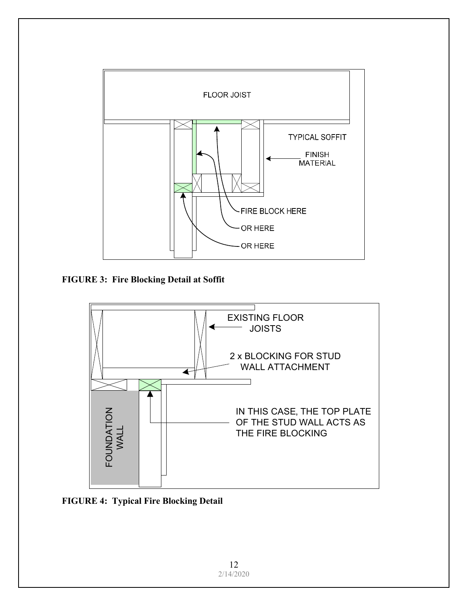

**FIGURE 3: Fire Blocking Detail at Soffit** 



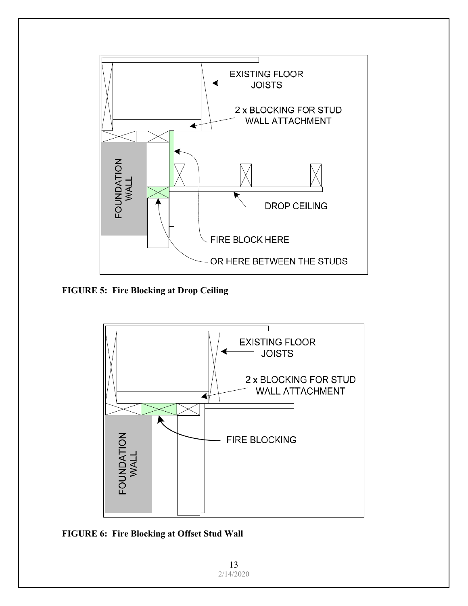

**FIGURE 5: Fire Blocking at Drop Ceiling** 



**FIGURE 6: Fire Blocking at Offset Stud Wall** 

13 2/14/2020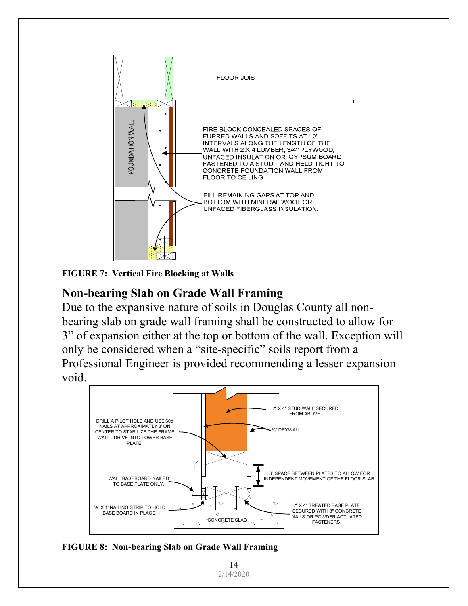

**FIGURE 7: Vertical Fire Blocking at Walls** 

### **Non-bearing Slab on Grade Wall Framing**

Due to the expansive nature of soils in Douglas County all nonbearing slab on grade wall framing shall be constructed to allow for 3" of expansion either at the top or bottom of the wall. Exception will only be considered when a "site-specific" soils report from a Professional Engineer is provided recommending a lesser expansion void.



**FIGURE 8: Non-bearing Slab on Grade Wall Framing** 

14 2/14/2020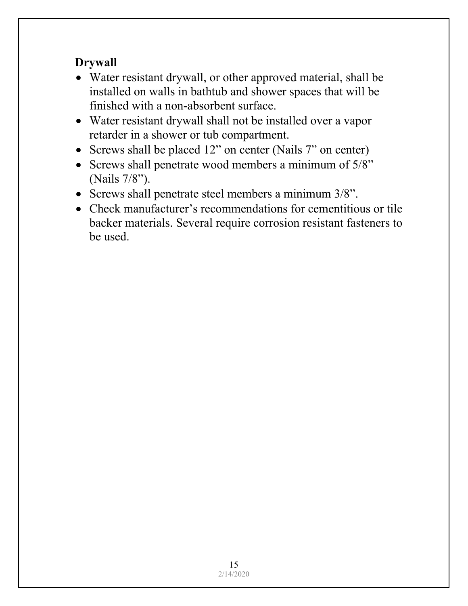# **Drywall**

- Water resistant drywall, or other approved material, shall be installed on walls in bathtub and shower spaces that will be finished with a non-absorbent surface.
- Water resistant drywall shall not be installed over a vapor retarder in a shower or tub compartment.
- Screws shall be placed 12" on center (Nails 7" on center)
- Screws shall penetrate wood members a minimum of 5/8" (Nails 7/8").
- Screws shall penetrate steel members a minimum 3/8".
- Check manufacturer's recommendations for cementitious or tile backer materials. Several require corrosion resistant fasteners to be used.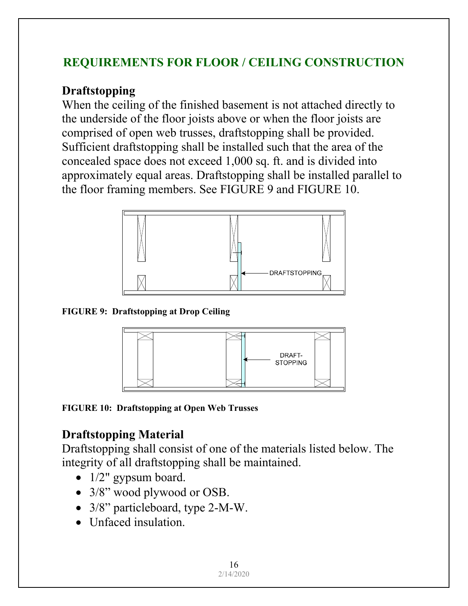# **REQUIREMENTS FOR FLOOR / CEILING CONSTRUCTION**

#### **Draftstopping**

When the ceiling of the finished basement is not attached directly to the underside of the floor joists above or when the floor joists are comprised of open web trusses, draftstopping shall be provided. Sufficient draftstopping shall be installed such that the area of the concealed space does not exceed 1,000 sq. ft. and is divided into approximately equal areas. Draftstopping shall be installed parallel to the floor framing members. See FIGURE 9 and FIGURE 10.



**FIGURE 9: Draftstopping at Drop Ceiling** 



**FIGURE 10: Draftstopping at Open Web Trusses** 

# **Draftstopping Material**

Draftstopping shall consist of one of the materials listed below. The integrity of all draftstopping shall be maintained.

- 1/2" gypsum board.
- 3/8" wood plywood or OSB.
- 3/8" particleboard, type 2-M-W.
- Unfaced insulation.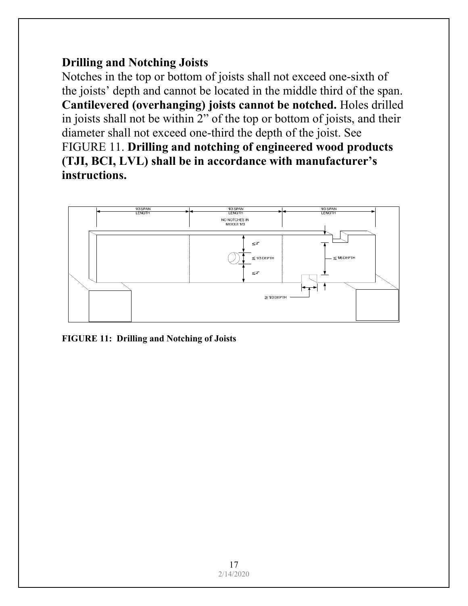### **Drilling and Notching Joists**

Notches in the top or bottom of joists shall not exceed one-sixth of the joists' depth and cannot be located in the middle third of the span. **Cantilevered (overhanging) joists cannot be notched.** Holes drilled in joists shall not be within 2" of the top or bottom of joists, and their diameter shall not exceed one-third the depth of the joist. See FIGURE 11. **Drilling and notching of engineered wood products (TJI, BCI, LVL) shall be in accordance with manufacturer's instructions.** 



**FIGURE 11: Drilling and Notching of Joists**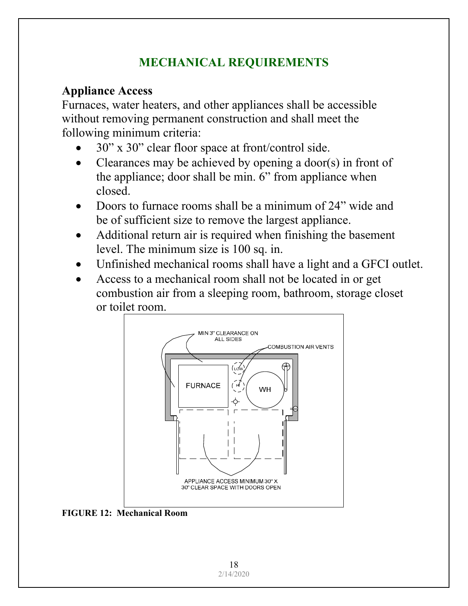# **MECHANICAL REQUIREMENTS**

# **Appliance Access**

Furnaces, water heaters, and other appliances shall be accessible without removing permanent construction and shall meet the following minimum criteria:

- 30" x 30" clear floor space at front/control side.
- Clearances may be achieved by opening a door(s) in front of the appliance; door shall be min. 6" from appliance when closed.
- Doors to furnace rooms shall be a minimum of 24" wide and be of sufficient size to remove the largest appliance.
- Additional return air is required when finishing the basement level. The minimum size is 100 sq. in.
- Unfinished mechanical rooms shall have a light and a GFCI outlet.
- Access to a mechanical room shall not be located in or get combustion air from a sleeping room, bathroom, storage closet or toilet room.



**FIGURE 12: Mechanical Room**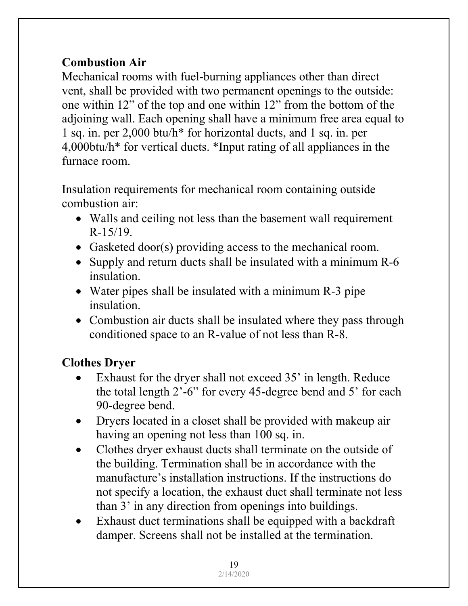# **Combustion Air**

Mechanical rooms with fuel-burning appliances other than direct vent, shall be provided with two permanent openings to the outside: one within 12" of the top and one within 12" from the bottom of the adjoining wall. Each opening shall have a minimum free area equal to 1 sq. in. per 2,000 btu/h\* for horizontal ducts, and 1 sq. in. per 4,000btu/h\* for vertical ducts. \*Input rating of all appliances in the furnace room.

Insulation requirements for mechanical room containing outside combustion air:

- Walls and ceiling not less than the basement wall requirement R-15/19.
- Gasketed door(s) providing access to the mechanical room.
- Supply and return ducts shall be insulated with a minimum R-6 insulation.
- Water pipes shall be insulated with a minimum R-3 pipe insulation.
- Combustion air ducts shall be insulated where they pass through conditioned space to an R-value of not less than R-8.

# **Clothes Dryer**

- Exhaust for the dryer shall not exceed 35' in length. Reduce the total length 2'-6" for every 45-degree bend and 5' for each 90-degree bend.
- Dryers located in a closet shall be provided with makeup air having an opening not less than 100 sq. in.
- Clothes dryer exhaust ducts shall terminate on the outside of the building. Termination shall be in accordance with the manufacture's installation instructions. If the instructions do not specify a location, the exhaust duct shall terminate not less than 3' in any direction from openings into buildings.
- Exhaust duct terminations shall be equipped with a backdraft damper. Screens shall not be installed at the termination.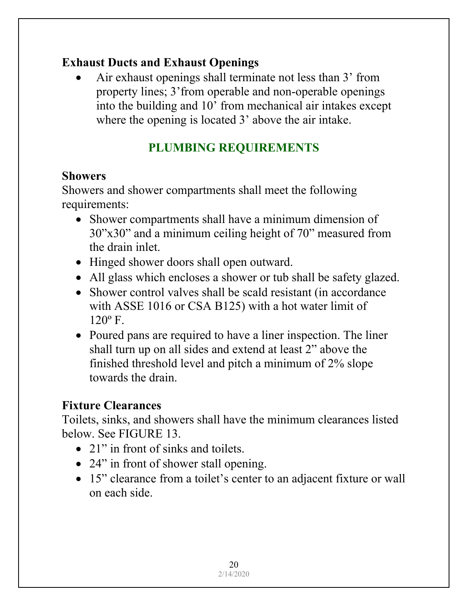### **Exhaust Ducts and Exhaust Openings**

 Air exhaust openings shall terminate not less than 3' from property lines; 3'from operable and non-operable openings into the building and 10' from mechanical air intakes except where the opening is located 3' above the air intake.

# **PLUMBING REQUIREMENTS**

### **Showers**

Showers and shower compartments shall meet the following requirements:

- Shower compartments shall have a minimum dimension of 30"x30" and a minimum ceiling height of 70" measured from the drain inlet.
- Hinged shower doors shall open outward.
- All glass which encloses a shower or tub shall be safety glazed.
- Shower control valves shall be scald resistant (in accordance with ASSE 1016 or CSA B125) with a hot water limit of  $120^{\circ}$  F.
- Poured pans are required to have a liner inspection. The liner shall turn up on all sides and extend at least 2" above the finished threshold level and pitch a minimum of 2% slope towards the drain.

### **Fixture Clearances**

Toilets, sinks, and showers shall have the minimum clearances listed below. See FIGURE 13.

- 21" in front of sinks and toilets.
- 24" in front of shower stall opening.
- 15" clearance from a toilet's center to an adjacent fixture or wall on each side.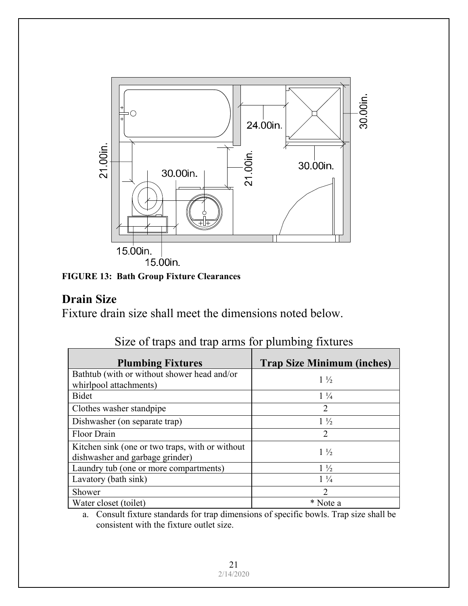

**FIGURE 13: Bath Group Fixture Clearances** 

### **Drain Size**

Fixture drain size shall meet the dimensions noted below.

| <b>Plumbing Fixtures</b>                                                           | <b>Trap Size Minimum (inches)</b> |
|------------------------------------------------------------------------------------|-----------------------------------|
| Bathtub (with or without shower head and/or                                        | $1\frac{1}{2}$                    |
| whirlpool attachments)                                                             |                                   |
| Bidet                                                                              | $1\frac{1}{4}$                    |
| Clothes washer standpipe                                                           | $\mathcal{D}_{\mathcal{L}}$       |
| Dishwasher (on separate trap)                                                      | $1\frac{1}{2}$                    |
| Floor Drain                                                                        | 2                                 |
| Kitchen sink (one or two traps, with or without<br>dishwasher and garbage grinder) | $1\frac{1}{2}$                    |
| Laundry tub (one or more compartments)                                             | $1\frac{1}{2}$                    |
| Lavatory (bath sink)                                                               | $1\frac{1}{4}$                    |
| Shower                                                                             | $\mathcal{D}$                     |
| Water closet (toilet)                                                              | * Note a                          |

|  |  |  |  | Size of traps and trap arms for plumbing fixtures |
|--|--|--|--|---------------------------------------------------|
|  |  |  |  |                                                   |

a. Consult fixture standards for trap dimensions of specific bowls. Trap size shall be consistent with the fixture outlet size.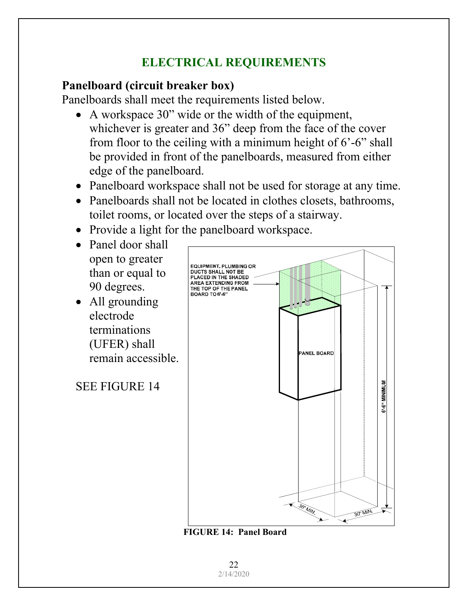# **ELECTRICAL REQUIREMENTS**

### **Panelboard (circuit breaker box)**

Panelboards shall meet the requirements listed below.

- A workspace 30" wide or the width of the equipment, whichever is greater and 36" deep from the face of the cover from floor to the ceiling with a minimum height of 6'-6" shall be provided in front of the panelboards, measured from either edge of the panelboard.
- Panelboard workspace shall not be used for storage at any time.
- Panelboards shall not be located in clothes closets, bathrooms, toilet rooms, or located over the steps of a stairway.
- Provide a light for the panelboard workspace.
- Panel door shall open to greater than or equal to 90 degrees.
- All grounding electrode terminations (UFER) shall remain accessible.

SEE FIGURE 14



 **FIGURE 14: Panel Board** 

22 2/14/2020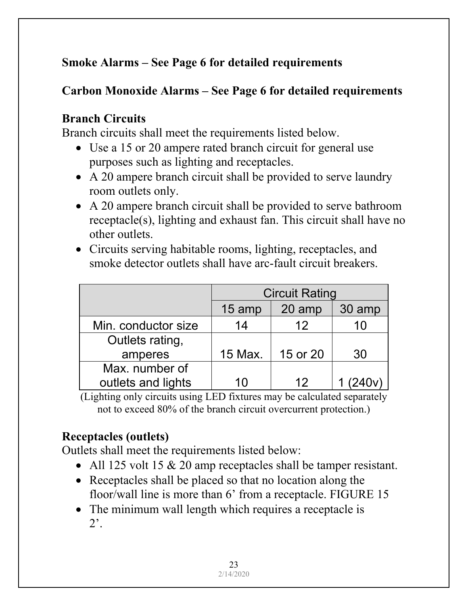# **Smoke Alarms – See Page 6 for detailed requirements**

# **Carbon Monoxide Alarms – See Page 6 for detailed requirements**

# **Branch Circuits**

Branch circuits shall meet the requirements listed below.

- Use a 15 or 20 ampere rated branch circuit for general use purposes such as lighting and receptacles.
- A 20 ampere branch circuit shall be provided to serve laundry room outlets only.
- A 20 ampere branch circuit shall be provided to serve bathroom receptacle(s), lighting and exhaust fan. This circuit shall have no other outlets.
- Circuits serving habitable rooms, lighting, receptacles, and smoke detector outlets shall have arc-fault circuit breakers.

|                     | <b>Circuit Rating</b> |                 |          |  |  |  |  |  |  |
|---------------------|-----------------------|-----------------|----------|--|--|--|--|--|--|
|                     | 15 amp                | 20 amp          | 30 amp   |  |  |  |  |  |  |
| Min. conductor size | 14                    | 12              | 10       |  |  |  |  |  |  |
| Outlets rating,     |                       |                 |          |  |  |  |  |  |  |
| amperes             | 15 Max.               | 15 or 20        | 30       |  |  |  |  |  |  |
| Max. number of      |                       |                 |          |  |  |  |  |  |  |
| outlets and lights  | 10                    | 12 <sup>°</sup> | 1 (240v) |  |  |  |  |  |  |

(Lighting only circuits using LED fixtures may be calculated separately not to exceed 80% of the branch circuit overcurrent protection.)

# **Receptacles (outlets)**

Outlets shall meet the requirements listed below:

- All 125 volt 15  $& 20$  amp receptacles shall be tamper resistant.
- Receptacles shall be placed so that no location along the floor/wall line is more than 6' from a receptacle. FIGURE 15
- The minimum wall length which requires a receptacle is 2'.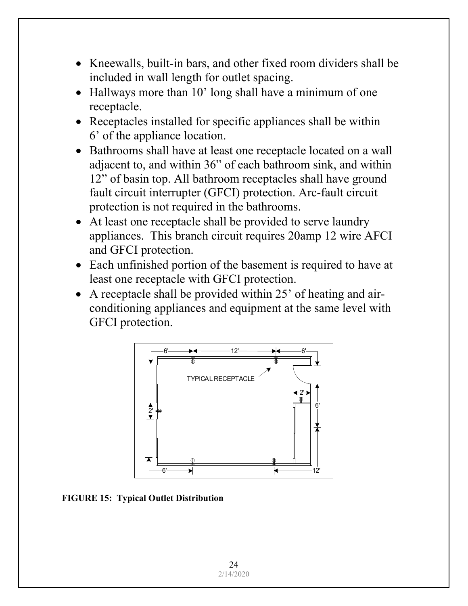- Kneewalls, built-in bars, and other fixed room dividers shall be included in wall length for outlet spacing.
- Hallways more than 10' long shall have a minimum of one receptacle.
- Receptacles installed for specific appliances shall be within 6' of the appliance location.
- Bathrooms shall have at least one receptacle located on a wall adjacent to, and within 36" of each bathroom sink, and within 12" of basin top. All bathroom receptacles shall have ground fault circuit interrupter (GFCI) protection. Arc-fault circuit protection is not required in the bathrooms.
- At least one receptacle shall be provided to serve laundry appliances. This branch circuit requires 20amp 12 wire AFCI and GFCI protection.
- Each unfinished portion of the basement is required to have at least one receptacle with GFCI protection.
- A receptacle shall be provided within 25' of heating and airconditioning appliances and equipment at the same level with GFCI protection.



**FIGURE 15: Typical Outlet Distribution**